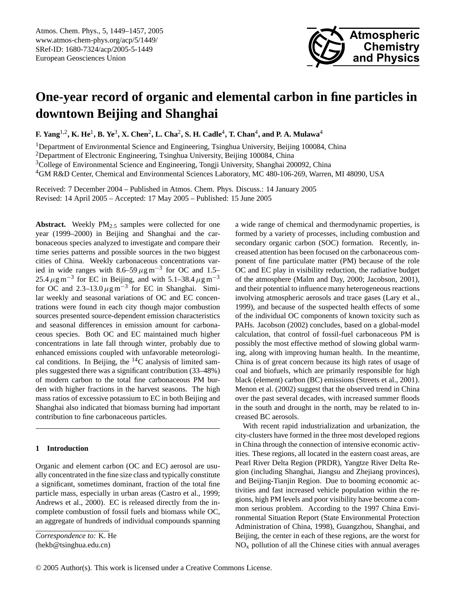

# **One-year record of organic and elemental carbon in fine particles in downtown Beijing and Shanghai**

**F. Yang<sup>1,2</sup>, K. He<sup>1</sup>, B. Ye<sup>3</sup>, X. Chen<sup>2</sup>, L. Cha<sup>2</sup>, S. H. Cadle<sup>4</sup>, T. Chan<sup>4</sup>, and P. A. Mulawa<sup>4</sup>** 

<sup>1</sup>Department of Environmental Science and Engineering, Tsinghua University, Beijing 100084, China <sup>2</sup>Department of Electronic Engineering, Tsinghua University, Beijing 100084, China <sup>3</sup>College of Environmental Science and Engineering, Tongji University, Shanghai 200092, China <sup>4</sup>GM R&D Center, Chemical and Environmental Sciences Laboratory, MC 480-106-269, Warren, MI 48090, USA

Received: 7 December 2004 – Published in Atmos. Chem. Phys. Discuss.: 14 January 2005 Revised: 14 April 2005 – Accepted: 17 May 2005 – Published: 15 June 2005

**Abstract.** Weekly  $PM_2$  s samples were collected for one year (1999–2000) in Beijing and Shanghai and the carbonaceous species analyzed to investigate and compare their time series patterns and possible sources in the two biggest cities of China. Weekly carbonaceous concentrations varied in wide ranges with  $8.6-59 \,\mu g \,\text{m}^{-3}$  for OC and 1.5– 25.4  $\mu$ g m<sup>-3</sup> for EC in Beijing, and with 5.1–38.4  $\mu$ g m<sup>-3</sup> for OC and  $2.3-13.0 \,\mu g \,\text{m}^{-3}$  for EC in Shanghai. Similar weekly and seasonal variations of OC and EC concentrations were found in each city though major combustion sources presented source-dependent emission characteristics and seasonal differences in emission amount for carbonaceous species. Both OC and EC maintained much higher concentrations in late fall through winter, probably due to enhanced emissions coupled with unfavorable meteorological conditions. In Beijing, the  ${}^{14}C$  analysis of limited samples suggested there was a significant contribution (33–48%) of modern carbon to the total fine carbonaceous PM burden with higher fractions in the harvest seasons. The high mass ratios of excessive potassium to EC in both Beijing and Shanghai also indicated that biomass burning had important contribution to fine carbonaceous particles.

# **1 Introduction**

Organic and element carbon (OC and EC) aerosol are usually concentrated in the fine size class and typically constitute a significant, sometimes dominant, fraction of the total fine particle mass, especially in urban areas (Castro et al., 1999; Andrews et al., 2000). EC is released directly from the incomplete combustion of fossil fuels and biomass while OC, an aggregate of hundreds of individual compounds spanning

<span id="page-0-0"></span>*Correspondence to:* K. He (hekb@tsinghua.edu.cn)

a wide range of chemical and thermodynamic properties, is formed by a variety of processes, including combustion and secondary organic carbon (SOC) formation. Recently, increased attention has been focused on the carbonaceous component of fine particulate matter (PM) because of the role OC and EC play in visibility reduction, the radiative budget of the atmosphere (Malm and Day, 2000; Jacobson, 2001), and their potential to influence many heterogeneous reactions involving atmospheric aerosols and trace gases (Lary et al., 1999), and because of the suspected health effects of some of the individual OC components of known toxicity such as PAHs. Jacobson (2002) concludes, based on a global-model calculation, that control of fossil-fuel carbonaceous PM is possibly the most effective method of slowing global warming, along with improving human health. In the meantime, China is of great concern because its high rates of usage of coal and biofuels, which are primarily responsible for high black (element) carbon (BC) emissions (Streets et al., 2001). Menon et al. (2002) suggest that the observed trend in China over the past several decades, with increased summer floods in the south and drought in the north, may be related to increased BC aerosols.

With recent rapid industrialization and urbanization, the city-clusters have formed in the three most developed regions in China through the connection of intensive economic activities. These regions, all located in the eastern coast areas, are Pearl River Delta Region (PRDR), Yangtze River Delta Region (including Shanghai, Jiangsu and Zhejiang provinces), and Beijing-Tianjin Region. Due to booming economic activities and fast increased vehicle population within the regions, high PM levels and poor visibility have become a common serious problem. According to the 1997 China Environmental Situation Report (State Environmental Protection Administration of China, 1998), Guangzhou, Shanghai, and Beijing, the center in each of these regions, are the worst for  $NO<sub>x</sub>$  pollution of all the Chinese cities with annual averages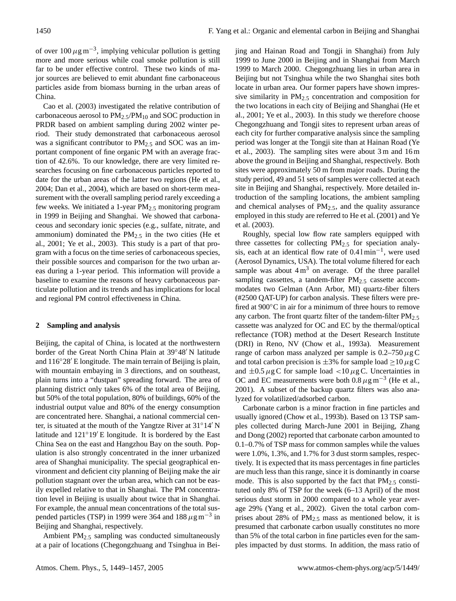of over  $100 \,\mu g\,\text{m}^{-3}$ , implying vehicular pollution is getting more and more serious while coal smoke pollution is still far to be under effective control. These two kinds of major sources are believed to emit abundant fine carbonaceous particles aside from biomass burning in the urban areas of China.

Cao et al. (2003) investigated the relative contribution of carbonaceous aerosol to  $PM_{2.5}/PM_{10}$  and SOC production in PRDR based on ambient sampling during 2002 winter period. Their study demonstrated that carbonaceous aerosol was a significant contributor to  $PM_{2.5}$  and SOC was an important component of fine organic PM with an average fraction of 42.6%. To our knowledge, there are very limited researches focusing on fine carbonaceous particles reported to date for the urban areas of the latter two regions (He et al., 2004; Dan et al., 2004), which are based on short-term measurement with the overall sampling period rarely exceeding a few weeks. We initiated a 1-year  $PM_{2.5}$  monitoring program in 1999 in Beijing and Shanghai. We showed that carbonaceous and secondary ionic species (e.g., sulfate, nitrate, and ammonium) dominated the  $PM_{2.5}$  in the two cities (He et al., 2001; Ye et al., 2003). This study is a part of that program with a focus on the time series of carbonaceous species, their possible sources and comparison for the two urban areas during a 1-year period. This information will provide a baseline to examine the reasons of heavy carbonaceous particulate pollution and its trends and has implications for local and regional PM control effectiveness in China.

# **2 Sampling and analysis**

Beijing, the capital of China, is located at the northwestern border of the Great North China Plain at 39°48' N latitude and  $116°28'$  E longitude. The main terrain of Beijing is plain, with mountain embaying in 3 directions, and on southeast, plain turns into a "dustpan" spreading forward. The area of planning district only takes 6% of the total area of Beijing, but 50% of the total population, 80% of buildings, 60% of the industrial output value and 80% of the energy consumption are concentrated here. Shanghai, a national commercial center, is situated at the mouth of the Yangtze River at  $31°14'$  N latitude and  $121°19'E$  longitude. It is bordered by the East China Sea on the east and Hangzhou Bay on the south. Population is also strongly concentrated in the inner urbanized area of Shanghai municipality. The special geographical environment and deficient city planning of Beijing make the air pollution stagnant over the urban area, which can not be easily expelled relative to that in Shanghai. The PM concentration level in Beijing is usually about twice that in Shanghai. For example, the annual mean concentrations of the total suspended particles (TSP) in 1999 were 364 and 188  $\mu$ g m<sup>-3</sup> in Beijing and Shanghai, respectively.

Ambient  $PM_{2.5}$  sampling was conducted simultaneously at a pair of locations (Chegongzhuang and Tsinghua in Beijing and Hainan Road and Tongji in Shanghai) from July 1999 to June 2000 in Beijing and in Shanghai from March 1999 to March 2000. Chegongzhuang lies in urban area in Beijing but not Tsinghua while the two Shanghai sites both locate in urban area. Our former papers have shown impressive similarity in  $PM<sub>2.5</sub>$  concentration and composition for the two locations in each city of Beijing and Shanghai (He et al., 2001; Ye et al., 2003). In this study we therefore choose Chegongzhuang and Tongji sites to represent urban areas of each city for further comparative analysis since the sampling period was longer at the Tongji site than at Hainan Road (Ye et al., 2003). The sampling sites were about 3 m and 16 m above the ground in Beijing and Shanghai, respectively. Both sites were approximately 50 m from major roads. During the study period, 49 and 51 sets of samples were collected at each site in Beijing and Shanghai, respectively. More detailed introduction of the sampling locations, the ambient sampling and chemical analyses of  $PM_{2.5}$ , and the quality assurance employed in this study are referred to He et al. (2001) and Ye et al. (2003).

Roughly, special low flow rate samplers equipped with three cassettes for collecting PM<sub>2.5</sub> for speciation analysis, each at an identical flow rate of 0.4 l min−<sup>1</sup> , were used (Aerosol Dynamics, USA). The total volume filtered for each sample was about  $4 \text{ m}^3$  on average. Of the three parallel sampling cassettes, a tandem-filter  $PM_{2.5}$  cassette accommodates two Gelman (Ann Arbor, MI) quartz-fiber filters (#2500 QAT-UP) for carbon analysis. These filters were prefired at 900℃ in air for a minimum of three hours to remove any carbon. The front quartz filter of the tandem-filter  $PM_{2.5}$ cassette was analyzed for OC and EC by the thermal/optical reflectance (TOR) method at the Desert Research Institute (DRI) in Reno, NV (Chow et al., 1993a). Measurement range of carbon mass analyzed per sample is  $0.2-750 \,\mu$ g C and total carbon precision is  $\pm 3\%$  for sample load > 10  $\mu$ g C and  $\pm 0.5 \,\mu$ g C for sample load <10  $\mu$ g C. Uncertainties in OC and EC measurements were both  $0.8 \,\mu$ g m<sup>-3</sup> (He et al., 2001). A subset of the backup quartz filters was also analyzed for volatilized/adsorbed carbon.

Carbonate carbon is a minor fraction in fine particles and usually ignored (Chow et al., 1993b). Based on 13 TSP samples collected during March-June 2001 in Beijing, Zhang and Dong (2002) reported that carbonate carbon amounted to 0.1–0.7% of TSP mass for common samples while the values were 1.0%, 1.3%, and 1.7% for 3 dust storm samples, respectively. It is expected that its mass percentages in fine particles are much less than this range, since it is dominantly in coarse mode. This is also supported by the fact that  $PM_{2.5}$  constituted only 8% of TSP for the week (6–13 April) of the most serious dust storm in 2000 compared to a whole year average 29% (Yang et al., 2002). Given the total carbon comprises about  $28\%$  of  $PM_{2.5}$  mass as mentioned below, it is presumed that carbonate carbon usually constitutes no more than 5% of the total carbon in fine particles even for the samples impacted by dust storms. In addition, the mass ratio of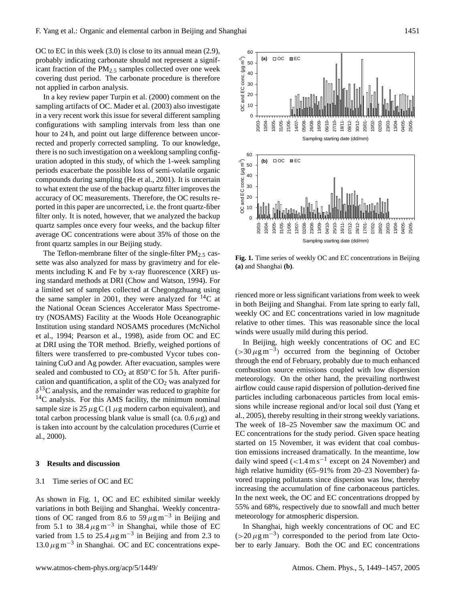OC to EC in this week (3.0) is close to its annual mean (2.9), probably indicating carbonate should not represent a significant fraction of the  $PM_{2.5}$  samples collected over one week covering dust period. The carbonate procedure is therefore not applied in carbon analysis.

In a key review paper Turpin et al. (2000) comment on the sampling artifacts of OC. Mader et al. (2003) also investigate in a very recent work this issue for several different sampling configurations with sampling intervals from less than one hour to 24 h, and point out large difference between uncorrected and properly corrected sampling. To our knowledge, there is no such investigation on a weeklong sampling configuration adopted in this study, of which the 1-week sampling periods exacerbate the possible loss of semi-volatile organic compounds during sampling (He et al., 2001). It is uncertain to what extent the use of the backup quartz filter improves the accuracy of OC measurements. Therefore, the OC results reported in this paper are uncorrected, i.e. the front quartz-fiber filter only. It is noted, however, that we analyzed the backup quartz samples once every four weeks, and the backup filter average OC concentrations were about 35% of those on the front quartz samples in our Beijing study.

The Teflon-membrane filter of the single-filter  $PM_{2.5}$  cassette was also analyzed for mass by gravimetry and for elements including K and Fe by x-ray fluorescence (XRF) using standard methods at DRI (Chow and Watson, 1994). For a limited set of samples collected at Chegongzhuang using the same sampler in 2001, they were analyzed for  $^{14}C$  at the National Ocean Sciences Accelerator Mass Spectrometry (NOSAMS) Facility at the Woods Hole Oceanographic Institution using standard NOSAMS procedures (McNichol et al., 1994; Pearson et al., 1998), aside from OC and EC at DRI using the TOR method. Briefly, weighed portions of filters were transferred to pre-combusted Vycor tubes containing CuO and Ag powder. After evacuation, samples were sealed and combusted to  $CO<sub>2</sub>$  at 850 $\degree$ C for 5 h. After purification and quantification, a split of the  $CO<sub>2</sub>$  was analyzed for  $\delta^{13}$ C analysis, and the remainder was reduced to graphite for  $14C$  analysis. For this AMS facility, the minimum nominal sample size is  $25 \mu g C$  (1  $\mu g$  modern carbon equivalent), and total carbon processing blank value is small (ca.  $0.6 \mu$ g) and is taken into account by the calculation procedures (Currie et al., 2000).

## **3 Results and discussion**

## 3.1 Time series of OC and EC

As shown in Fig. 1, OC and EC exhibited similar weekly variations in both Beijing and Shanghai. Weekly concentrations of OC ranged from 8.6 to 59  $\mu$ g m<sup>-3</sup> in Beijing and from 5.1 to 38.4  $\mu$ g m<sup>-3</sup> in Shanghai, while those of EC varied from 1.5 to 25.4  $\mu$ g m<sup>-3</sup> in Beijing and from 2.3 to 13.0  $\mu$ g m<sup>-3</sup> in Shanghai. OC and EC concentrations expe-



**Fig. 1.** Time series of weekly OC and EC concentrations in Beijing **(a)** and Shanghai **(b)**.

rienced more or less significant variations from week to week in both Beijing and Shanghai. From late spring to early fall, weekly OC and EC concentrations varied in low magnitude relative to other times. This was reasonable since the local winds were usually mild during this period.

In Beijing, high weekly concentrations of OC and EC  $(>30 \,\mu\text{g m}^{-3})$  occurred from the beginning of October through the end of February, probably due to much enhanced combustion source emissions coupled with low dispersion meteorology. On the other hand, the prevailing northwest airflow could cause rapid dispersion of pollution-derived fine particles including carbonaceous particles from local emissions while increase regional and/or local soil dust (Yang et al., 2005), thereby resulting in their strong weekly variations. The week of 18–25 November saw the maximum OC and EC concentrations for the study period. Given space heating started on 15 November, it was evident that coal combustion emissions increased dramatically. In the meantime, low daily wind speed  $(<1.4 \text{ m s}^{-1}$  except on 24 November) and high relative humidity (65–91% from 20–23 November) favored trapping pollutants since dispersion was low, thereby increasing the accumulation of fine carbonaceous particles. In the next week, the OC and EC concentrations dropped by 55% and 68%, respectively due to snowfall and much better meteorology for atmospheric dispersion.

In Shanghai, high weekly concentrations of OC and EC  $(>20 \mu g m^{-3})$  corresponded to the period from late October to early January. Both the OC and EC concentrations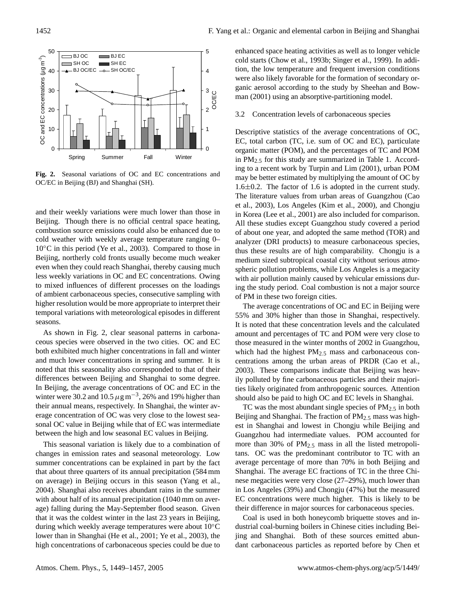

**Fig. 2.** Seasonal variations of OC and EC concentrations and OC/EC in Beijing (BJ) and Shanghai (SH).

and their weekly variations were much lower than those in Beijing. Though there is no official central space heating, combustion source emissions could also be enhanced due to cold weather with weekly average temperature ranging 0– 10◦C in this period (Ye et al., 2003). Compared to those in Beijing, northerly cold fronts usually become much weaker even when they could reach Shanghai, thereby causing much less weekly variations in OC and EC concentrations. Owing to mixed influences of different processes on the loadings of ambient carbonaceous species, consecutive sampling with higher resolution would be more appropriate to interpret their temporal variations with meteorological episodes in different seasons.

As shown in Fig. 2, clear seasonal patterns in carbonaceous species were observed in the two cities. OC and EC both exhibited much higher concentrations in fall and winter and much lower concentrations in spring and summer. It is noted that this seasonality also corresponded to that of their differences between Beijing and Shanghai to some degree. In Beijing, the average concentrations of OC and EC in the winter were 30.2 and 10.5  $\mu$ g m<sup>-3</sup>, 26% and 19% higher than their annual means, respectively. In Shanghai, the winter average concentration of OC was very close to the lowest seasonal OC value in Beijing while that of EC was intermediate between the high and low seasonal EC values in Beijing.

This seasonal variation is likely due to a combination of changes in emission rates and seasonal meteorology. Low summer concentrations can be explained in part by the fact that about three quarters of its annual precipitation (584 mm on average) in Beijing occurs in this season (Yang et al., 2004). Shanghai also receives abundant rains in the summer with about half of its annual precipitation (1040 mm on average) falling during the May-September flood season. Given that it was the coldest winter in the last 23 years in Beijing, during which weekly average temperatures were about 10◦C lower than in Shanghai (He et al., 2001; Ye et al., 2003), the high concentrations of carbonaceous species could be due to enhanced space heating activities as well as to longer vehicle cold starts (Chow et al., 1993b; Singer et al., 1999). In addition, the low temperature and frequent inversion conditions were also likely favorable for the formation of secondary organic aerosol according to the study by Sheehan and Bowman (2001) using an absorptive-partitioning model.

# 3.2 Concentration levels of carbonaceous species

Descriptive statistics of the average concentrations of OC, EC, total carbon (TC, i.e. sum of OC and EC), particulate organic matter (POM), and the percentages of TC and POM in  $PM_{2.5}$  for this study are summarized in Table 1. According to a recent work by Turpin and Lim (2001), urban POM may be better estimated by multiplying the amount of OC by 1.6±0.2. The factor of 1.6 is adopted in the current study. The literature values from urban areas of Guangzhou (Cao et al., 2003), Los Angeles (Kim et al., 2000), and Chongju in Korea (Lee et al., 2001) are also included for comparison. All these studies except Guangzhou study covered a period of about one year, and adopted the same method (TOR) and analyzer (DRI products) to measure carbonaceous species, thus these results are of high comparability. Chongju is a medium sized subtropical coastal city without serious atmospheric pollution problems, while Los Angeles is a megacity with air pollution mainly caused by vehicular emissions during the study period. Coal combustion is not a major source of PM in these two foreign cities.

The average concentrations of OC and EC in Beijing were 55% and 30% higher than those in Shanghai, respectively. It is noted that these concentration levels and the calculated amount and percentages of TC and POM were very close to those measured in the winter months of 2002 in Guangzhou, which had the highest  $PM_{2.5}$  mass and carbonaceous concentrations among the urban areas of PRDR (Cao et al., 2003). These comparisons indicate that Beijing was heavily polluted by fine carbonaceous particles and their majorities likely originated from anthropogenic sources. Attention should also be paid to high OC and EC levels in Shanghai.

TC was the most abundant single species of  $PM_{2.5}$  in both Beijing and Shanghai. The fraction of  $PM_{2.5}$  mass was highest in Shanghai and lowest in Chongju while Beijing and Guangzhou had intermediate values. POM accounted for more than 30% of  $PM_{2.5}$  mass in all the listed metropolitans. OC was the predominant contributor to TC with an average percentage of more than 70% in both Beijing and Shanghai. The average EC fractions of TC in the three Chinese megacities were very close (27–29%), much lower than in Los Angeles (39%) and Chongju (47%) but the measured EC concentrations were much higher. This is likely to be their difference in major sources for carbonaceous species.

Coal is used in both honeycomb briquette stoves and industrial coal-burning boilers in Chinese cities including Beijing and Shanghai. Both of these sources emitted abundant carbonaceous particles as reported before by Chen et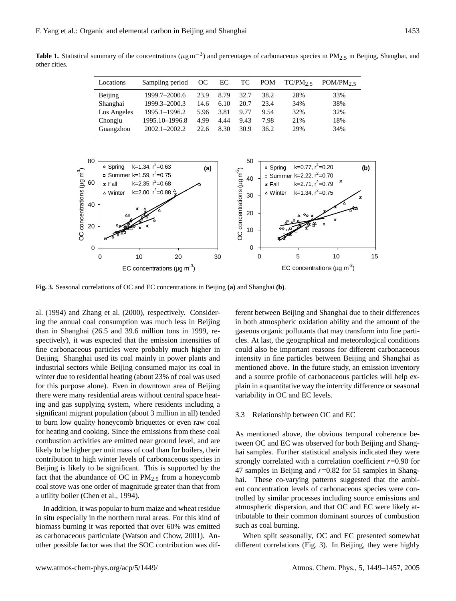| Locations   | Sampling period   | OC   | EC   | TC.  | <b>POM</b> | $TC/PM_2$ | POM/PM $_2$ $\overline{5}$ |
|-------------|-------------------|------|------|------|------------|-----------|----------------------------|
| Beijing     | 1999.7-2000.6     | 23.9 | 8.79 | 32.7 | 38.2       | 28%       | 33%                        |
| Shanghai    | 1999.3-2000.3     | 14.6 | 6.10 | 20.7 | 23.4       | 34%       | 38%                        |
| Los Angeles | 1995.1-1996.2     | 5.96 | 3.81 | 9.77 | 9.54       | 32%       | 32%                        |
| Chongju     | 1995.10-1996.8    | 4.99 | 4.44 | 9.43 | 7.98       | 21%       | 18%                        |
| Guangzhou   | $2002.1 - 2002.2$ | 22.6 | 8.30 | 30.9 | 36.2       | 29%       | 34%                        |



**Fig. 3.** Seasonal correlations of OC and EC concentrations in Beijing **(a)** and Shanghai **(b)**.

al. (1994) and Zhang et al. (2000), respectively. Considering the annual coal consumption was much less in Beijing than in Shanghai (26.5 and 39.6 million tons in 1999, respectively), it was expected that the emission intensities of fine carbonaceous particles were probably much higher in Beijing. Shanghai used its coal mainly in power plants and industrial sectors while Beijing consumed major its coal in winter due to residential heating (about 23% of coal was used for this purpose alone). Even in downtown area of Beijing there were many residential areas without central space heating and gas supplying system, where residents including a significant migrant population (about 3 million in all) tended to burn low quality honeycomb briquettes or even raw coal for heating and cooking. Since the emissions from these coal combustion activities are emitted near ground level, and are likely to be higher per unit mass of coal than for boilers, their contribution to high winter levels of carbonaceous species in Beijing is likely to be significant. This is supported by the fact that the abundance of OC in  $PM_{2.5}$  from a honeycomb coal stove was one order of magnitude greater than that from a utility boiler (Chen et al., 1994).

In addition, it was popular to burn maize and wheat residue in situ especially in the northern rural areas. For this kind of biomass burning it was reported that over 60% was emitted as carbonaceous particulate (Watson and Chow, 2001). Another possible factor was that the SOC contribution was dif-

ferent between Beijing and Shanghai due to their differences in both atmospheric oxidation ability and the amount of the gaseous organic pollutants that may transform into fine particles. At last, the geographical and meteorological conditions could also be important reasons for different carbonaceous intensity in fine particles between Beijing and Shanghai as mentioned above. In the future study, an emission inventory and a source profile of carbonaceous particles will help explain in a quantitative way the intercity difference or seasonal variability in OC and EC levels.

#### 3.3 Relationship between OC and EC

As mentioned above, the obvious temporal coherence between OC and EC was observed for both Beijing and Shanghai samples. Further statistical analysis indicated they were strongly correlated with a correlation coefficient  $r=0.90$  for 47 samples in Beijing and  $r=0.82$  for 51 samples in Shanghai. These co-varying patterns suggested that the ambient concentration levels of carbonaceous species were controlled by similar processes including source emissions and atmospheric dispersion, and that OC and EC were likely attributable to their common dominant sources of combustion such as coal burning.

When split seasonally, OC and EC presented somewhat different correlations (Fig. 3). In Beijing, they were highly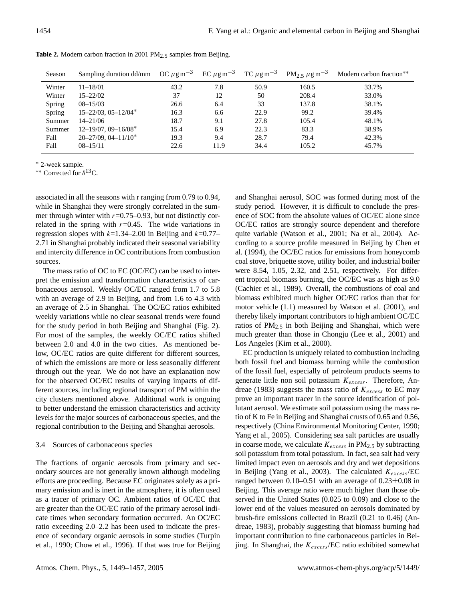| Season | Sampling duration dd/mm      | OC $\mu$ g m <sup>-3</sup> | EC $\mu$ g m <sup>-3</sup> | TC $\mu$ g m <sup>-3</sup> | $PM_{2.5} \mu g m^{-3}$ | Modern carbon fraction** |
|--------|------------------------------|----------------------------|----------------------------|----------------------------|-------------------------|--------------------------|
| Winter | $11 - 18/01$                 | 43.2                       | 7.8                        | 50.9                       | 160.5                   | 33.7%                    |
| Winter | $15 - 22/02$                 | 37                         | 12                         | 50                         | 208.4                   | 33.0%                    |
| Spring | $08 - 15/03$                 | 26.6                       | 6.4                        | 33                         | 137.8                   | 38.1%                    |
| Spring | $15 - 22/03$ , $05 - 12/04*$ | 16.3                       | 6.6                        | 22.9                       | 99.2                    | 39.4%                    |
| Summer | $14 - 21/06$                 | 18.7                       | 9.1                        | 27.8                       | 105.4                   | 48.1%                    |
| Summer | $12 - 19/07$ , 09-16/08*     | 15.4                       | 6.9                        | 22.3                       | 83.3                    | 38.9%                    |
| Fall   | $20 - 27/09$ , $04 - 11/10*$ | 19.3                       | 9.4                        | 28.7                       | 79.4                    | 42.3%                    |
| Fall   | $08 - 15/11$                 | 22.6                       | 11.9                       | 34.4                       | 105.2                   | 45.7%                    |

**Table 2.** Modern carbon fraction in 2001 PM<sub>2.5</sub> samples from Beijing.

<sup>∗</sup> 2-week sample.

∗∗ Corrected for δ <sup>13</sup>C.

associated in all the seasons with r ranging from 0.79 to 0.94, while in Shanghai they were strongly correlated in the summer through winter with  $r=0.75-0.93$ , but not distinctly correlated in the spring with  $r=0.45$ . The wide variations in regression slopes with  $k=1.34-2.00$  in Beijing and  $k=0.77-$ 2.71 in Shanghai probably indicated their seasonal variability and intercity difference in OC contributions from combustion sources.

The mass ratio of OC to EC (OC/EC) can be used to interpret the emission and transformation characteristics of carbonaceous aerosol. Weekly OC/EC ranged from 1.7 to 5.8 with an average of 2.9 in Beijing, and from 1.6 to 4.3 with an average of 2.5 in Shanghai. The OC/EC ratios exhibited weekly variations while no clear seasonal trends were found for the study period in both Beijing and Shanghai (Fig. 2). For most of the samples, the weekly OC/EC ratios shifted between 2.0 and 4.0 in the two cities. As mentioned below, OC/EC ratios are quite different for different sources, of which the emissions are more or less seasonally different through out the year. We do not have an explanation now for the observed OC/EC results of varying impacts of different sources, including regional transport of PM within the city clusters mentioned above. Additional work is ongoing to better understand the emission characteristics and activity levels for the major sources of carbonaceous species, and the regional contribution to the Beijing and Shanghai aerosols.

## 3.4 Sources of carbonaceous species

The fractions of organic aerosols from primary and secondary sources are not generally known although modeling efforts are proceeding. Because EC originates solely as a primary emission and is inert in the atmosphere, it is often used as a tracer of primary OC. Ambient ratios of OC/EC that are greater than the OC/EC ratio of the primary aerosol indicate times when secondary formation occurred. An OC/EC ratio exceeding 2.0–2.2 has been used to indicate the presence of secondary organic aerosols in some studies (Turpin et al., 1990; Chow et al., 1996). If that was true for Beijing and Shanghai aerosol, SOC was formed during most of the study period. However, it is difficult to conclude the presence of SOC from the absolute values of OC/EC alone since OC/EC ratios are strongly source dependent and therefore quite variable (Watson et al., 2001; Na et al., 2004). According to a source profile measured in Beijing by Chen et al. (1994), the OC/EC ratios for emissions from honeycomb coal stove, briquette stove, utility boiler, and industrial boiler were 8.54, 1.05, 2.32, and 2.51, respectively. For different tropical biomass burning, the OC/EC was as high as 9.0 (Cachier et al., 1989). Overall, the combustions of coal and biomass exhibited much higher OC/EC ratios than that for motor vehicle (1.1) measured by Watson et al. (2001), and thereby likely important contributors to high ambient OC/EC ratios of  $PM_{2.5}$  in both Beijing and Shanghai, which were much greater than those in Chongju (Lee et al., 2001) and Los Angeles (Kim et al., 2000).

EC production is uniquely related to combustion including both fossil fuel and biomass burning while the combustion of the fossil fuel, especially of petroleum products seems to generate little non soil potassium  $K_{excess}$ . Therefore, Andreae (1983) suggests the mass ratio of  $K_{excess}$  to EC may prove an important tracer in the source identification of pollutant aerosol. We estimate soil potassium using the mass ratio of K to Fe in Beijing and Shanghai crusts of 0.65 and 0.56, respectively (China Environmental Monitoring Center, 1990; Yang et al., 2005). Considering sea salt particles are usually in coarse mode, we calculate  $K_{excess}$  in  $PM_{2.5}$  by subtracting soil potassium from total potassium. In fact, sea salt had very limited impact even on aerosols and dry and wet depositions in Beijing (Yang et al., 2003). The calculated  $K_{excess}/\text{EC}$ ranged between  $0.10-0.51$  with an average of  $0.23\pm0.08$  in Beijing. This average ratio were much higher than those observed in the United States (0.025 to 0.09) and close to the lower end of the values measured on aerosols dominated by brush-fire emissions collected in Brazil (0.21 to 0.46) (Andreae, 1983), probably suggesting that biomass burning had important contribution to fine carbonaceous particles in Beijing. In Shanghai, the  $K_{excess}$ /EC ratio exhibited somewhat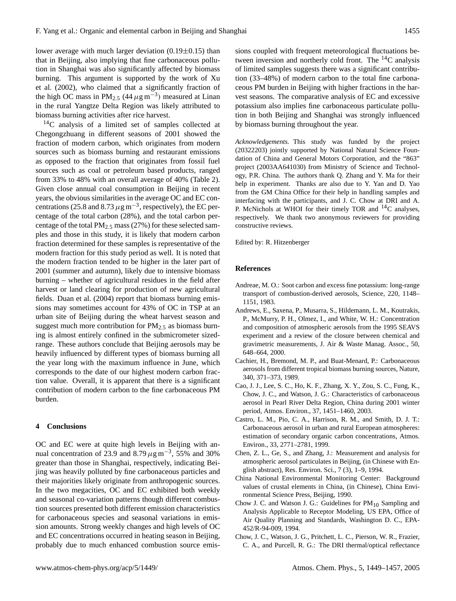lower average with much larger deviation  $(0.19 \pm 0.15)$  than that in Beijing, also implying that fine carbonaceous pollution in Shanghai was also significantly affected by biomass burning. This argument is supported by the work of Xu et al. (2002), who claimed that a significantly fraction of the high OC mass in PM<sub>2.5</sub>  $(44 \mu g m^{-3})$  measured at Linan in the rural Yangtze Delta Region was likely attributed to biomass burning activities after rice harvest.

<sup>14</sup>C analysis of a limited set of samples collected at Chegongzhuang in different seasons of 2001 showed the fraction of modern carbon, which originates from modern sources such as biomass burning and restaurant emissions as opposed to the fraction that originates from fossil fuel sources such as coal or petroleum based products, ranged from 33% to 48% with an overall average of 40% (Table 2). Given close annual coal consumption in Beijing in recent years, the obvious similarities in the average OC and EC concentrations (25.8 and 8.73  $\mu$ g m<sup>-3</sup>, respectively), the EC percentage of the total carbon (28%), and the total carbon percentage of the total  $PM_{2.5}$  mass (27%) for these selected samples and those in this study, it is likely that modern carbon fraction determined for these samples is representative of the modern fraction for this study period as well. It is noted that the modern fraction tended to be higher in the later part of 2001 (summer and autumn), likely due to intensive biomass burning – whether of agricultural residues in the field after harvest or land clearing for production of new agricultural fields. Duan et al. (2004) report that biomass burning emissions may sometimes account for 43% of OC in TSP at an urban site of Beijing during the wheat harvest season and suggest much more contribution for  $PM_{2.5}$  as biomass burning is almost entirely confined in the submicrometer sizedrange. These authors conclude that Beijing aerosols may be heavily influenced by different types of biomass burning all the year long with the maximum influence in June, which corresponds to the date of our highest modern carbon fraction value. Overall, it is apparent that there is a significant contribution of modern carbon to the fine carbonaceous PM burden.

### **4 Conclusions**

OC and EC were at quite high levels in Beijing with annual concentration of 23.9 and 8.79  $\mu$ g m<sup>-3</sup>, 55% and 30% greater than those in Shanghai, respectively, indicating Beijing was heavily polluted by fine carbonaceous particles and their majorities likely originate from anthropogenic sources. In the two megacities, OC and EC exhibited both weekly and seasonal co-variation patterns though different combustion sources presented both different emission characteristics for carbonaceous species and seasonal variations in emission amounts. Strong weekly changes and high levels of OC and EC concentrations occurred in heating season in Beijing, probably due to much enhanced combustion source emissions coupled with frequent meteorological fluctuations between inversion and northerly cold front. The  ${}^{14}C$  analysis of limited samples suggests there was a significant contribution (33–48%) of modern carbon to the total fine carbonaceous PM burden in Beijing with higher fractions in the harvest seasons. The comparative analysis of EC and excessive potassium also implies fine carbonaceous particulate pollution in both Beijing and Shanghai was strongly influenced by biomass burning throughout the year.

*Acknowledgements.* This study was funded by the project (20322203) jointly supported by National Natural Science Foundation of China and General Motors Corporation, and the "863" project (2003AA641030) from Ministry of Science and Technology, P.R. China. The authors thank Q. Zhang and Y. Ma for their help in experiment. Thanks are also due to Y. Yan and D. Yao from the GM China Office for their help in handling samples and interfacing with the participants, and J. C. Chow at DRI and A. P. McNichols at WHOI for their timely TOR and  $^{14}$ C analyses, respectively. We thank two anonymous reviewers for providing constructive reviews.

Edited by: R. Hitzenberger

### **References**

- Andreae, M. O.: Soot carbon and excess fine potassium: long-range transport of combustion-derived aerosols, Science, 220, 1148– 1151, 1983.
- Andrews, E., Saxena, P., Musarra, S., Hildemann, L. M., Koutrakis, P., McMurry, P. H., Olmez, I., and White, W. H.: Concentration and composition of atmospheric aerosols from the 1995 SEAVS experiment and a review of the closure between chemical and gravimetric measurements, J. Air & Waste Manag. Assoc., 50, 648–664, 2000.
- Cachier, H., Bremond, M. P., and Buat-Menard, P.: Carbonaceous aerosols from different tropical biomass burning sources, Nature, 340, 371–373, 1989.
- Cao, J. J., Lee, S. C., Ho, K. F., Zhang, X. Y., Zou, S. C., Fung, K., Chow, J. C., and Watson, J. G.: Characteristics of carbonaceous aerosol in Pearl River Delta Region, China during 2001 winter period, Atmos. Environ., 37, 1451–1460, 2003.
- Castro, L. M., Pio, C. A., Harrison, R. M., and Smith, D. J. T.: Carbonaceous aerosol in urban and rural European atmospheres: estimation of secondary organic carbon concentrations, Atmos. Environ., 33, 2771–2781, 1999.
- Chen, Z. L., Ge, S., and Zhang, J.: Measurement and analysis for atmospheric aerosol particulates in Beijing, (in Chinese with English abstract), Res. Environ. Sci., 7 (3), 1–9, 1994.
- China National Environmental Monitoring Center: Background values of crustal elements in China, (in Chinese), China Environmental Science Press, Beijing, 1990.
- Chow J. C. and Watson J. G.: Guidelines for  $PM_{10}$  Sampling and Analysis Applicable to Receptor Modeling, US EPA, Office of Air Quality Planning and Standards, Washington D. C., EPA-452/R-94-009, 1994.
- Chow, J. C., Watson, J. G., Pritchett, L. C., Pierson, W. R., Frazier, C. A., and Purcell, R. G.: The DRI thermal/optical reflectance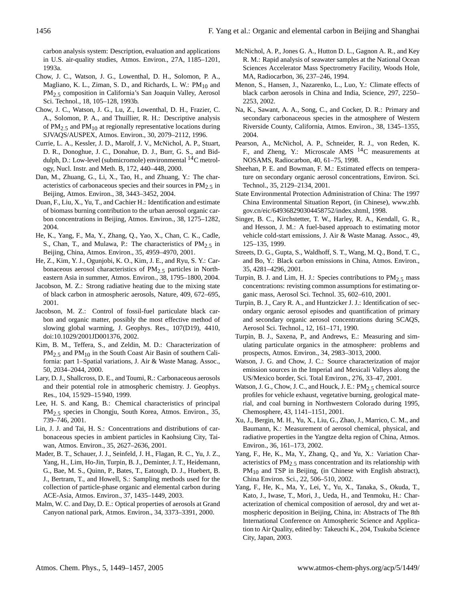carbon analysis system: Description, evaluation and applications in U.S. air-quality studies, Atmos. Environ., 27A, 1185–1201, 1993a.

- Chow, J. C., Watson, J. G., Lowenthal, D. H., Solomon, P. A., Magliano, K. L., Ziman, S. D., and Richards, L. W.:  $PM_{10}$  and PM2.5 composition in California's San Joaquin Valley, Aerosol Sci. Technol., 18, 105–128, 1993b.
- Chow, J. C., Watson, J. G., Lu, Z., Lowenthal, D. H., Frazier, C. A., Solomon, P. A., and Thuillier, R. H.: Descriptive analysis of  $PM_{2.5}$  and  $PM_{10}$  at regionally representative locations during SJVAQS/AUSPEX, Atmos. Environ., 30, 2079–2112, 1996.
- Currie, L. A., Kessler, J. D., Marolf, J. V., McNichol, A. P., Stuart, D. R., Donoghue, J. C., Donahue, D. J., Burr, G. S., and Biddulph, D.: Low-level (submicromole) environmental  $^{14}$ C metrology, Nucl. Instr. and Meth. B, 172, 440–448, 2000.
- Dan, M., Zhuang, G., Li, X., Tao, H., and Zhuang, Y.: The characteristics of carbonaceous species and their sources in PM $_2$ , in Beijing, Atmos. Environ., 38, 3443–3452, 2004.
- Duan, F., Liu, X., Yu, T., and Cachier H.: Identification and estimate of biomass burning contribution to the urban aerosol organic carbon concentrations in Beijing, Atmos. Environ., 38, 1275–1282, 2004.
- He, K., Yang, F., Ma, Y., Zhang, Q., Yao, X., Chan, C. K., Cadle, S., Chan, T., and Mulawa, P.: The characteristics of  $PM_{2.5}$  in Beijing, China, Atmos. Environ., 35, 4959–4970, 2001.
- He, Z., Kim, Y. J., Ogunjobi, K. O., Kim, J. E., and Ryu, S. Y.: Carbonaceous aerosol characteristics of  $PM_{2.5}$  particles in Northeastern Asia in summer, Atmos. Environ., 38, 1795–1800, 2004.
- Jacobson, M. Z.: Strong radiative heating due to the mixing state of black carbon in atmospheric aerosols, Nature, 409, 672–695, 2001.
- Jacobson, M. Z.: Control of fossil-fuel particulate black carbon and organic matter, possibly the most effective method of slowing global warming, J. Geophys. Res., 107(D19), 4410, doi:10.1029/2001JD001376, 2002.
- Kim, B. M., Teffera, S., and Zeldin, M. D.: Characterization of PM<sub>2.5</sub> and PM<sub>10</sub> in the South Coast Air Basin of southern California: part 1–Spatial variations, J. Air & Waste Manag. Assoc., 50, 2034–2044, 2000.
- Lary, D. J., Shallcross, D. E., and Toumi, R.: Carbonaceous aerosols and their potential role in atmospheric chemistry. J. Geophys. Res., 104, 15 929–15 940, 1999.
- Lee, H. S. and Kang, B.: Chemical characteristics of principal PM<sub>2.5</sub> species in Chongju, South Korea, Atmos. Environ., 35, 739–746, 2001.
- Lin, J. J. and Tai, H. S.: Concentrations and distributions of carbonaceous species in ambient particles in Kaohsiung City, Taiwan, Atmos. Environ., 35, 2627–2636, 2001.
- Mader, B. T., Schauer, J. J., Seinfeld, J. H., Flagan, R. C., Yu, J. Z., Yang, H., Lim, Ho-Jin, Turpin, B. J., Deminter, J. T., Heidemann, G., Bae, M. S., Quinn, P., Bates, T., Eatough, D. J., Huebert, B. J., Bertram, T., and Howell, S.: Sampling methods used for the collection of particle-phase organic and elemental carbon during ACE-Asia, Atmos. Environ., 37, 1435–1449, 2003.
- Malm, W. C. and Day, D. E.: Optical properties of aerosols at Grand Canyon national park, Atmos. Environ., 34, 3373–3391, 2000.
- McNichol, A. P., Jones G. A., Hutton D. L., Gagnon A. R., and Key R. M.: Rapid analysis of seawater samples at the National Ocean Sciences Accelerator Mass Spectrometry Facility, Woods Hole, MA, Radiocarbon, 36, 237–246, 1994.
- Menon, S., Hansen, J., Nazarenko, L., Luo, Y.: Climate effects of black carbon aerosols in China and India, Science, 297, 2250– 2253, 2002.
- Na, K., Sawant, A. A., Song, C., and Cocker, D. R.: Primary and secondary carbonaceous species in the atmosphere of Western Riverside County, California, Atmos. Environ., 38, 1345–1355, 2004.
- Pearson, A., McNichol, A. P., Schneider, R. J., von Reden, K. F., and Zheng, Y.: Microscale AMS <sup>14</sup>C measurements at NOSAMS, Radiocarbon, 40, 61–75, 1998.
- Sheehan, P. E. and Bowman, F. M.: Estimated effects on temperature on secondary organic aerosol concentrations, Environ. Sci. Technol., 35, 2129–2134, 2001.
- State Environmental Protection Administration of China: The 1997 China Environmental Situation Report, (in Chinese), [www.zhb.](www.zhb.gov.cn/eic/649368290304458752/index.shtml) [gov.cn/eic/649368290304458752/index.shtml,](www.zhb.gov.cn/eic/649368290304458752/index.shtml) 1998.
- Singer, B. C., Kirchstetter, T. W., Harley, R. A., Kendall, G. R., and Hesson, J. M.: A fuel-based approach to estimating motor vehicle cold-start emissions, J. Air & Waste Manag. Assoc., 49, 125–135, 1999.
- Streets, D. G., Gupta, S., Waldhoff, S. T., Wang, M. Q., Bond, T. C., and Bo, Y.: Black carbon emissions in China, Atmos. Environ., 35, 4281–4296, 2001.
- Turpin, B. J. and Lim, H. J.: Species contributions to  $PM_{2.5}$  mass concentrations: revisting common assumptions for estimating organic mass, Aerosol Sci. Technol. 35, 602–610, 2001.
- Turpin, B. J., Cary R. A., and Huntzicker J. J.: Identification of secondary organic aerosol episodes and quantification of primary and secondary organic aerosol concentrations during SCAQS, Aerosol Sci. Technol., 12, 161–171, 1990.
- Turpin, B. J., Saxena, P., and Andrews, E.: Measuring and simulating particulate organics in the atmosphere: problems and prospects, Atmos. Environ., 34, 2983–3013, 2000.
- Watson, J. G. and Chow, J. C.: Source characterization of major emission sources in the Imperial and Mexicali Valleys along the US/Mexico border, Sci. Total Environ., 276, 33–47, 2001.
- Watson, J. G., Chow, J. C., and Houck, J. E.:  $PM_2$  5 chemical source profiles for vehicle exhaust, vegetative burning, geological material, and coal burning in Northwestern Colorado during 1995, Chemosphere, 43, 1141–1151, 2001.
- Xu, J., Bergin, M. H., Yu, X., Liu, G., Zhao, J., Marrico, C. M., and Baumann, K.: Measurement of aerosol chemical, physical, and radiative properties in the Yangtze delta region of China, Atmos. Environ., 36, 161–173, 2002.
- Yang, F., He, K., Ma, Y., Zhang, Q., and Yu, X.: Variation Characteristics of  $PM_{2.5}$  mass concentration and its relationship with  $PM_{10}$  and TSP in Beijing, (in Chinese with English abstract), China Environ. Sci., 22, 506–510, 2002.
- Yang, F., He, K., Ma, Y., Lei, Y., Yu, X., Tanaka, S., Okuda, T., Kato, J., Iwase, T., Mori, J., Ueda, H., and Tenmoku, H.: Characterization of chemical composition of aerosol, dry and wet atmospheric deposition in Beijing, China, in: Abstracts of The 8th International Conference on Atmospheric Science and Application to Air Quality, edited by: Takeuchi K., 204, Tsukuba Science City, Japan, 2003.